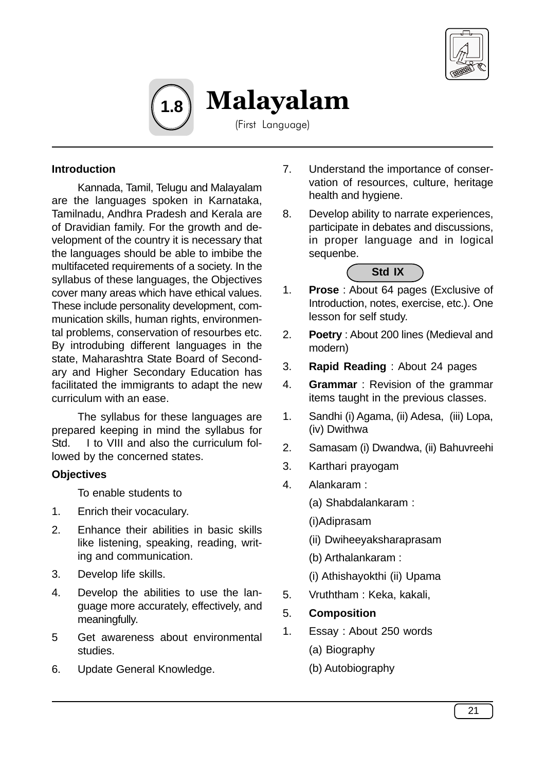



Malayalam

(First Language)

## **Introduction**

Kannada, Tamil, Telugu and Malayalam are the languages spoken in Karnataka, Tamilnadu, Andhra Pradesh and Kerala are of Dravidian family. For the growth and development of the country it is necessary that the languages should be able to imbibe the multifaceted requirements of a society. In the syllabus of these languages, the Objectives cover many areas which have ethical values. These include personality development, communication skills, human rights, environmental problems, conservation of resourbes etc. By introdubing different languages in the state, Maharashtra State Board of Secondary and Higher Secondary Education has facilitated the immigrants to adapt the new curriculum with an ease.

The syllabus for these languages are prepared keeping in mind the syllabus for Std. I to VIII and also the curriculum followed by the concerned states.

## **Objectives**

To enable students to

- 1. Enrich their vocaculary.
- 2. Enhance their abilities in basic skills like listening, speaking, reading, writing and communication.
- 3. Develop life skills.
- 4. Develop the abilities to use the language more accurately, effectively, and meaningfully.
- 5 Get awareness about environmental studies.
- 6. Update General Knowledge.
- 7. Understand the importance of conservation of resources, culture, heritage health and hygiene.
- 8. Develop ability to narrate experiences, participate in debates and discussions, in proper language and in logical sequenbe.



- 1. **Prose** : About 64 pages (Exclusive of Introduction, notes, exercise, etc.). One lesson for self study.
- 2. **Poetry** : About 200 lines (Medieval and modern)
- 3. **Rapid Reading** : About 24 pages
- 4. **Grammar** : Revision of the grammar items taught in the previous classes.
- 1. Sandhi (i) Agama, (ii) Adesa, (iii) Lopa, (iv) Dwithwa
- 2. Samasam (i) Dwandwa, (ii) Bahuvreehi
- 3. Karthari prayogam
- 4. Alankaram :
	- (a) Shabdalankaram :
	- (i)Adiprasam
	- (ii) Dwiheeyaksharaprasam
	- (b) Arthalankaram :
	- (i) Athishayokthi (ii) Upama
- 5. Vruththam : Keka, kakali,
- 5. **Composition**
- 1. Essay : About 250 words
	- (a) Biography
	- (b) Autobiography